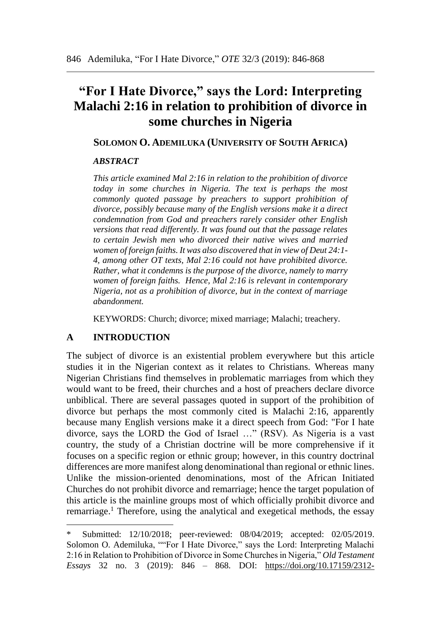# **"For I Hate Divorce," says the Lord: Interpreting Malachi 2:16 in relation to prohibition of divorce in some churches in Nigeria**

## **SOLOMON O. ADEMILUKA (UNIVERSITY OF SOUTH AFRICA)**

# *ABSTRACT*

*This article examined Mal 2:16 in relation to the prohibition of divorce today in some churches in Nigeria. The text is perhaps the most commonly quoted passage by preachers to support prohibition of divorce, possibly because many of the English versions make it a direct condemnation from God and preachers rarely consider other English versions that read differently. It was found out that the passage relates to certain Jewish men who divorced their native wives and married women of foreign faiths. It was also discovered that in view of Deut 24:1- 4, among other OT texts, Mal 2:16 could not have prohibited divorce. Rather, what it condemns is the purpose of the divorce, namely to marry women of foreign faiths. Hence, Mal 2:16 is relevant in contemporary Nigeria, not as a prohibition of divorce, but in the context of marriage abandonment.* 

KEYWORDS: Church; divorce; mixed marriage; Malachi; treachery.

# **A INTRODUCTION**

 $\overline{a}$ 

The subject of divorce is an existential problem everywhere but this article studies it in the Nigerian context as it relates to Christians. Whereas many Nigerian Christians find themselves in problematic marriages from which they would want to be freed, their churches and a host of preachers declare divorce unbiblical. There are several passages quoted in support of the prohibition of divorce but perhaps the most commonly cited is Malachi 2:16, apparently because many English versions make it a direct speech from God: "For I hate divorce, says the LORD the God of Israel …" (RSV). As Nigeria is a vast country, the study of a Christian doctrine will be more comprehensive if it focuses on a specific region or ethnic group; however, in this country doctrinal differences are more manifest along denominational than regional or ethnic lines. Unlike the mission-oriented denominations, most of the African Initiated Churches do not prohibit divorce and remarriage; hence the target population of this article is the mainline groups most of which officially prohibit divorce and remarriage.<sup>1</sup> Therefore, using the analytical and exegetical methods, the essay

Submitted: 12/10/2018; peer-reviewed: 08/04/2019; accepted: 02/05/2019. Solomon O. Ademiluka, ""For I Hate Divorce," says the Lord: Interpreting Malachi 2:16 in Relation to Prohibition of Divorce in Some Churches in Nigeria," *Old Testament Essays* 32 no. 3 (2019): 846 – 868. DOI: [https://doi.org/10.17159/2312-](https://doi.org/10.17159/2312-3621/2019/v32n3a5)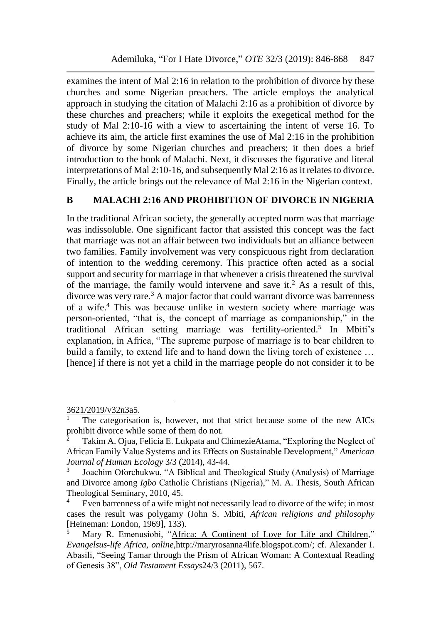examines the intent of Mal 2:16 in relation to the prohibition of divorce by these churches and some Nigerian preachers. The article employs the analytical approach in studying the citation of Malachi 2:16 as a prohibition of divorce by these churches and preachers; while it exploits the exegetical method for the study of Mal 2:10-16 with a view to ascertaining the intent of verse 16. To achieve its aim, the article first examines the use of Mal 2:16 in the prohibition of divorce by some Nigerian churches and preachers; it then does a brief introduction to the book of Malachi. Next, it discusses the figurative and literal interpretations of Mal 2:10-16, and subsequently Mal 2:16 as it relates to divorce. Finally, the article brings out the relevance of Mal 2:16 in the Nigerian context.

# **B MALACHI 2:16 AND PROHIBITION OF DIVORCE IN NIGERIA**

In the traditional African society, the generally accepted norm was that marriage was indissoluble. One significant factor that assisted this concept was the fact that marriage was not an affair between two individuals but an alliance between two families. Family involvement was very conspicuous right from declaration of intention to the wedding ceremony. This practice often acted as a social support and security for marriage in that whenever a crisis threatened the survival of the marriage, the family would intervene and save it.<sup>2</sup> As a result of this, divorce was very rare.<sup>3</sup> A major factor that could warrant divorce was barrenness of a wife.<sup>4</sup> This was because unlike in western society where marriage was person-oriented, "that is, the concept of marriage as companionship," in the traditional African setting marriage was fertility-oriented.<sup>5</sup> In Mbiti's explanation, in Africa, "The supreme purpose of marriage is to bear children to build a family, to extend life and to hand down the living torch of existence … [hence] if there is not yet a child in the marriage people do not consider it to be

l

[<sup>3621/2019/</sup>v32n3a5.](https://doi.org/10.17159/2312-3621/2019/v32n3a5)

The categorisation is, however, not that strict because some of the new AICs prohibit divorce while some of them do not.

Takim A. Ojua, Felicia E. Lukpata and ChimezieAtama, "Exploring the Neglect of African Family Value Systems and its Effects on Sustainable Development," *American Journal of Human Ecology* 3/3 (2014), 43-44.

<sup>3</sup> Joachim Oforchukwu, "A Biblical and Theological Study (Analysis) of Marriage and Divorce among *Igbo* Catholic Christians (Nigeria)," M. A. Thesis, South African Theological Seminary, 2010, 45.

<sup>&</sup>lt;sup>4</sup> Even barrenness of a wife might not necessarily lead to divorce of the wife; in most cases the result was polygamy (John S. Mbiti, *African religions and philosophy* [Heineman: London, 1969], 133).

Mary R. Emenusiobi, ["Africa: A Continent of Love for Life and Children,](http://maryrosanna4life.blogspot.com/2013/09/africa-continent-of-love-for-life-and.html)" *Evangelsus-life Africa, online,*[http://maryrosanna4life.blogspot.com/;](http://maryrosanna4life.blogspot.com/) cf. Alexander I. Abasili, "Seeing Tamar through the Prism of African Woman: A Contextual Reading of Genesis 38", *Old Testament Essays*24/3 (2011), 567.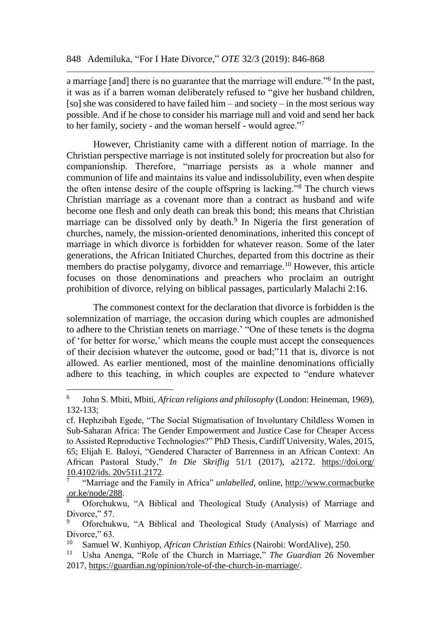a marriage [and] there is no guarantee that the marriage will endure."<sup>6</sup> In the past, it was as if a barren woman deliberately refused to "give her husband children, [so] she was considered to have failed him – and society – in the most serious way possible. And if he chose to consider his marriage null and void and send her back to her family, society - and the woman herself - would agree."<sup>7</sup>

However, Christianity came with a different notion of marriage. In the Christian perspective marriage is not instituted solely for procreation but also for companionship. Therefore, "marriage persists as a whole manner and communion of life and maintains its value and indissolubility, even when despite the often intense desire of the couple offspring is lacking."<sup>8</sup> The church views Christian marriage as a covenant more than a contract as husband and wife become one flesh and only death can break this bond; this means that Christian marriage can be dissolved only by death.<sup>9</sup> In Nigeria the first generation of churches, namely, the mission-oriented denominations, inherited this concept of marriage in which divorce is forbidden for whatever reason. Some of the later generations, the African Initiated Churches, departed from this doctrine as their members do practise polygamy, divorce and remarriage.<sup>10</sup> However, this article focuses on those denominations and preachers who proclaim an outright prohibition of divorce, relying on biblical passages, particularly Malachi 2:16.

The commonest context for the declaration that divorce is forbidden is the solemnization of marriage, the occasion during which couples are admonished to adhere to the Christian tenets on marriage.' "One of these tenets is the dogma of 'for better for worse,' which means the couple must accept the consequences of their decision whatever the outcome, good or bad;"11 that is, divorce is not allowed. As earlier mentioned, most of the mainline denominations officially adhere to this teaching, in which couples are expected to "endure whatever

<sup>6</sup> John S. Mbiti, Mbiti, *African religions and philosophy* (London: Heineman, 1969), 132-133;

cf. Hephzibah Egede, "The Social Stigmatisation of Involuntary Childless Women in Sub-Saharan Africa: The Gender Empowerment and Justice Case for Cheaper Access to Assisted Reproductive Technologies?" PhD Thesis, Cardiff University, Wales, 2015, 65; Elijah E. Baloyi, "Gendered Character of Barrenness in an African Context: An African Pastoral Study," *In Die Skriflig* 51/1 (2017), a2172. [https://doi.org/](https://doi.org/10.4102/ids.%2020v51i1.2172) [10.4102/ids. 20v51i1.2172.](https://doi.org/10.4102/ids.%2020v51i1.2172)

<sup>7</sup> "Marriage and the Family in Africa" *unlabelled*, online, [http://www.cormacburke](http://www.cormacburke.or.ke/node/288) [.or.ke/node/288.](http://www.cormacburke.or.ke/node/288)

<sup>8</sup> Oforchukwu, "A Biblical and Theological Study (Analysis) of Marriage and Divorce," 57.

<sup>9</sup> Oforchukwu, "A Biblical and Theological Study (Analysis) of Marriage and Divorce," 63.

<sup>&</sup>lt;sup>10</sup> Samuel W. Kunhiyop, *African Christian Ethics* (Nairobi: WordAlive), 250.<br><sup>11</sup> Ushe Anonga, "Pola of the Church in Marriage," *The Guardian* 26 Nov

<sup>11</sup> Usha Anenga, "Role of the Church in Marriage," *The Guardian* 26 November 2017, [https://guardian.ng/opinion/role-of-the-church-in-marriage/.](https://guardian.ng/opinion/role-of-the-church-in-marriage/)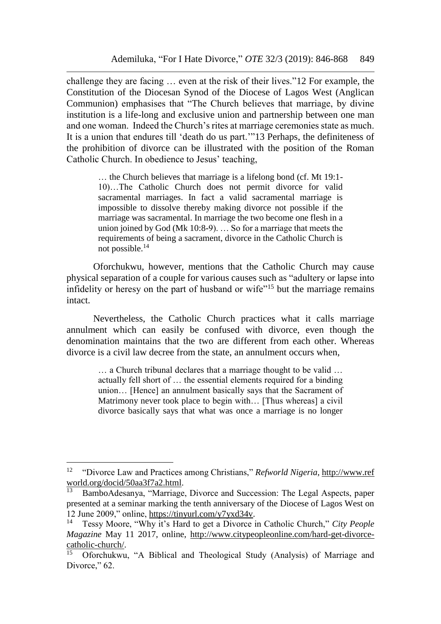challenge they are facing … even at the risk of their lives."12 For example, the Constitution of the Diocesan Synod of the Diocese of Lagos West (Anglican Communion) emphasises that "The Church believes that marriage, by divine institution is a life-long and exclusive union and partnership between one man and one woman. Indeed the Church's rites at marriage ceremonies state as much. It is a union that endures till 'death do us part.'"13 Perhaps, the definiteness of the prohibition of divorce can be illustrated with the position of the Roman Catholic Church. In obedience to Jesus' teaching,

> … the Church believes that marriage is a lifelong bond (cf. Mt 19:1- 10)…The Catholic Church does not permit divorce for valid sacramental marriages. In fact a valid sacramental marriage is impossible to dissolve thereby making divorce not possible if the marriage was sacramental. In marriage the two become one flesh in a union joined by God (Mk 10:8-9). … So for a marriage that meets the requirements of being a sacrament, divorce in the Catholic Church is not possible.<sup>14</sup>

Oforchukwu, however, mentions that the Catholic Church may cause physical separation of a couple for various causes such as "adultery or lapse into infidelity or heresy on the part of husband or wife"<sup>15</sup> but the marriage remains intact.

Nevertheless, the Catholic Church practices what it calls marriage annulment which can easily be confused with divorce, even though the denomination maintains that the two are different from each other. Whereas divorce is a civil law decree from the state, an annulment occurs when,

> … a Church tribunal declares that a marriage thought to be valid … actually fell short of … the essential elements required for a binding union… [Hence] an annulment basically says that the Sacrament of Matrimony never took place to begin with… [Thus whereas] a civil divorce basically says that what was once a marriage is no longer

<sup>12</sup> "Divorce Law and Practices among Christians," *Refworld Nigeria*, http://www.ref world.org/docid/50aa3f7a2.html.

<sup>13</sup> BamboAdesanya, "Marriage, Divorce and Succession: The Legal Aspects, paper presented at a seminar marking the tenth anniversary of the Diocese of Lagos West on 12 June 2009," online, [https://tinyurl.com/y7yxd34v.](https://tinyurl.com/y7yxd34v)

<sup>14</sup> Tessy Moore, "Why it's Hard to get a Divorce in Catholic Church," *City People Magazine* May 11 2017, online, [http://www.citypeopleonline.com/hard-get-divorce](http://www.citypeopleonline.com/hard-get-divorce-catholic-church/)[catholic-church/.](http://www.citypeopleonline.com/hard-get-divorce-catholic-church/)

<sup>15</sup> Oforchukwu, "A Biblical and Theological Study (Analysis) of Marriage and Divorce," 62.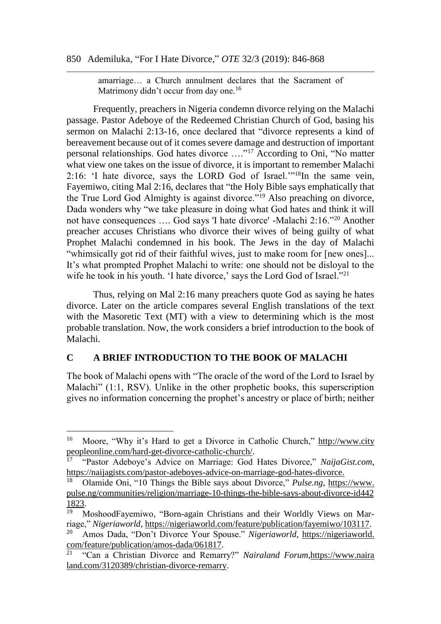#### 850 Ademiluka, "For I Hate Divorce," *OTE* 32/3 (2019): 846-868

amarriage… a Church annulment declares that the Sacrament of Matrimony didn't occur from day one.<sup>16</sup>

Frequently, preachers in Nigeria condemn divorce relying on the Malachi passage. Pastor Adeboye of the Redeemed Christian Church of God, basing his sermon on Malachi 2:13-16, once declared that "divorce represents a kind of bereavement because out of it comes severe damage and destruction of important personal relationships. God hates divorce …."<sup>17</sup> According to Oni, "No matter what view one takes on the issue of divorce, it is important to remember Malachi 2:16: 'I hate divorce, says the LORD God of Israel.'"<sup>18</sup>In the same vein, Fayemiwo, citing Mal 2:16, declares that "the Holy Bible says emphatically that the True Lord God Almighty is against divorce."<sup>19</sup> Also preaching on divorce, Dada wonders why "we take pleasure in doing what God hates and think it will not have consequences …. God says 'I hate divorce' -Malachi 2:16."<sup>20</sup> Another preacher accuses Christians who divorce their wives of being guilty of what Prophet Malachi condemned in his book. The Jews in the day of Malachi "whimsically got rid of their faithful wives, just to make room for [new ones]... It's what prompted Prophet Malachi to write: one should not be disloyal to the wife he took in his youth. 'I hate divorce,' says the Lord God of Israel."<sup>21</sup>

Thus, relying on Mal 2:16 many preachers quote God as saying he hates divorce. Later on the article compares several English translations of the text with the Masoretic Text (MT) with a view to determining which is the most probable translation. Now, the work considers a brief introduction to the book of Malachi.

#### **C A BRIEF INTRODUCTION TO THE BOOK OF MALACHI**

l

The book of Malachi opens with "The oracle of the word of the Lord to Israel by Malachi" (1:1, RSV). Unlike in the other prophetic books, this superscription gives no information concerning the prophet's ancestry or place of birth; neither

<sup>16</sup> Moore, "Why it's Hard to get a Divorce in Catholic Church," http://www.city peopleonline.com/hard-get-divorce-catholic-church/.

<sup>17</sup> "Pastor Adeboye's Advice on Marriage: God Hates Divorce," *NaijaGist.com*, [https://naijagists.com/pastor-adeboyes-advice-on-marriage-god-hates-divorce.](https://naijagists.com/pastor-adeboyes-advice-on-marriage-god-hates-divorce/)

<sup>18</sup> Olamide Oni, "10 Things the Bible says about Divorce," *Pulse.ng*, https://www. pulse.ng/communities/religion/marriage-10-things-the-bible-says-about-divorce-id442 1823.

<sup>19</sup> MoshoodFayemiwo, "Born-again Christians and their Worldly Views on Marriage," *Nigeriaworld*,<https://nigeriaworld.com/feature/publication/fayemiwo/>[103117.](https://nigeriaworld.com/feature/publication/fayemiwo/103117)

<sup>20</sup> Amos Dada, "Don't Divorce Your Spouse." *Nigeriaworld*, [https://nigeriaworld.](https://nigeriaworld.com/feature/publication/amos-dada/061817)  [com/feature/publication/amos-dada/061817.](https://nigeriaworld.com/feature/publication/amos-dada/061817)

<sup>21</sup> "Can a Christian Divorce and Remarry?" *Nairaland Forum,*https://www.naira land.com/3120389/christian-divorce-remarry.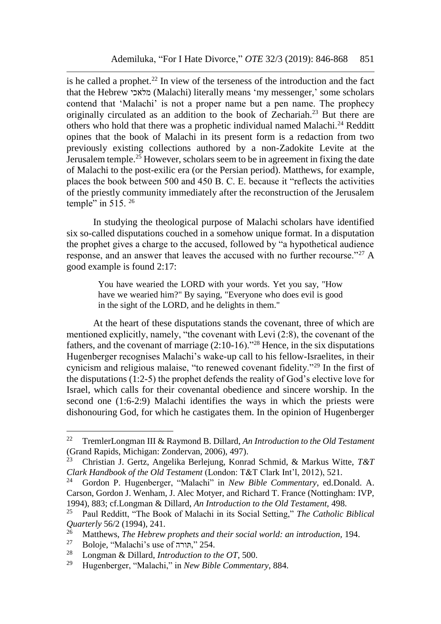is he called a prophet.<sup>22</sup> In view of the terseness of the introduction and the fact that the Hebrew מלאכי) Malachi) literally means 'my messenger,' some scholars contend that 'Malachi' is not a proper name but a pen name. The prophecy originally circulated as an addition to the book of Zechariah.<sup>23</sup> But there are others who hold that there was a prophetic individual named Malachi.<sup>24</sup> Redditt opines that the book of Malachi in its present form is a redaction from two previously existing collections authored by a non-Zadokite Levite at the Jerusalem temple.<sup>25</sup> However, scholars seem to be in agreement in fixing the date of Malachi to the post-exilic era (or the Persian period). Matthews, for example, places the book between 500 and 450 B. C. E. because it "reflects the activities of the priestly community immediately after the reconstruction of the Jerusalem temple" in  $515$ .  $26$ 

In studying the theological purpose of Malachi scholars have identified six so-called disputations couched in a somehow unique format. In a disputation the prophet gives a charge to the accused, followed by "a hypothetical audience response, and an answer that leaves the accused with no further recourse."<sup>27</sup> A good example is found 2:17:

You have wearied the LORD with your words. Yet you say, "How have we wearied him?" By saying, "Everyone who does evil is good in the sight of the LORD, and he delights in them."

At the heart of these disputations stands the covenant, three of which are mentioned explicitly, namely, "the covenant with Levi (2:8), the covenant of the fathers, and the covenant of marriage (2:10-16)."<sup>28</sup> Hence, in the six disputations Hugenberger recognises Malachi's wake-up call to his fellow-Israelites, in their cynicism and religious malaise, "to renewed covenant fidelity."<sup>29</sup> In the first of the disputations (1:2-5) the prophet defends the reality of God's elective love for Israel, which calls for their covenantal obedience and sincere worship. In the second one (1:6-2:9) Malachi identifies the ways in which the priests were dishonouring God, for which he castigates them. In the opinion of Hugenberger

l

<sup>22</sup> TremlerLongman III & Raymond B. Dillard, *An Introduction to the Old Testament* (Grand Rapids, Michigan: Zondervan, 2006), 497).

<sup>23</sup> Christian J. Gertz, Angelika Berlejung, Konrad Schmid, & Markus Witte, *T&T Clark Handbook of the Old Testament* (London: T&T Clark Int'l, 2012), 521.

<sup>24</sup> Gordon P. Hugenberger, "Malachi" in *New Bible Commentary*, ed.Donald. A. Carson, Gordon J. Wenham, J. Alec Motyer, and Richard T. France (Nottingham: IVP, 1994), 883; cf.Longman & Dillard, *An Introduction to the Old Testament,* 498.

<sup>25</sup> Paul Redditt, "The Book of Malachi in its Social Setting," *The Catholic Biblical Quarterly* 56/2 (1994), 241.<br><sup>26</sup> Matthews *The Habrer* 

<sup>&</sup>lt;sup>26</sup> Matthews, *The Hebrew prophets and their social world: an introduction*, 194.<br><sup>27</sup> Poloja "Malashi's use of  $72.54$ "

<sup>&</sup>lt;sup>27</sup> Boloje, "Malachi's use of חורה<sup>"</sup> 254.<br><sup>28</sup> Longman & Dillard *Introduction to t* 

<sup>28</sup> Longman & Dillard, *Introduction to the OT*, 500.

<sup>29</sup> Hugenberger, "Malachi," in *New Bible Commentary*, 884.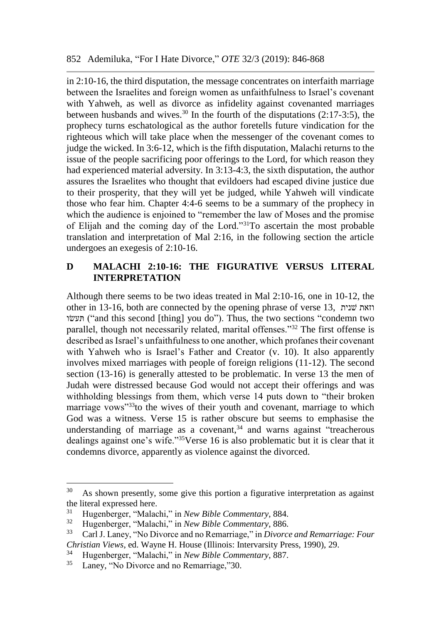in 2:10-16, the third disputation, the message concentrates on interfaith marriage between the Israelites and foreign women as unfaithfulness to Israel's covenant with Yahweh, as well as divorce as infidelity against covenanted marriages between husbands and wives.<sup>30</sup> In the fourth of the disputations  $(2:17-3:5)$ , the prophecy turns eschatological as the author foretells future vindication for the righteous which will take place when the messenger of the covenant comes to judge the wicked. In 3:6-12, which is the fifth disputation, Malachi returns to the issue of the people sacrificing poor offerings to the Lord, for which reason they had experienced material adversity. In 3:13-4:3, the sixth disputation, the author assures the Israelites who thought that evildoers had escaped divine justice due to their prosperity, that they will yet be judged, while Yahweh will vindicate those who fear him. Chapter 4:4-6 seems to be a summary of the prophecy in which the audience is enjoined to "remember the law of Moses and the promise of Elijah and the coming day of the Lord."<sup>31</sup>To ascertain the most probable translation and interpretation of Mal 2:16, in the following section the article undergoes an exegesis of 2:10-16.

## **D MALACHI 2:10-16: THE FIGURATIVE VERSUS LITERAL INTERPRETATION**

Although there seems to be two ideas treated in Mal 2:10-16, one in 10-12, the other in 13-16, both are connected by the opening phrase of verse 13, שניתׁ וזאת שוׂתעּ") and this second [thing] you do"). Thus, the two sections "condemn two parallel, though not necessarily related, marital offenses."<sup>32</sup> The first offense is described as Israel's unfaithfulness to one another, which profanes their covenant with Yahweh who is Israel's Father and Creator (v. 10). It also apparently involves mixed marriages with people of foreign religions (11-12). The second section (13-16) is generally attested to be problematic. In verse 13 the men of Judah were distressed because God would not accept their offerings and was withholding blessings from them, which verse 14 puts down to "their broken marriage vows"<sup>33</sup>to the wives of their youth and covenant, marriage to which God was a witness. Verse 15 is rather obscure but seems to emphasise the understanding of marriage as a covenant, $34$  and warns against "treacherous" dealings against one's wife."<sup>35</sup>Verse 16 is also problematic but it is clear that it condemns divorce, apparently as violence against the divorced.

 $30<sup>°</sup>$ As shown presently, some give this portion a figurative interpretation as against the literal expressed here.

<sup>31</sup> Hugenberger, "Malachi," in *New Bible Commentary*, 884.

<sup>32</sup> Hugenberger, "Malachi," in *New Bible Commentary*, 886.

<sup>33</sup> Carl J. Laney, "No Divorce and no Remarriage," in *Divorce and Remarriage: Four Christian Views*, ed. Wayne H. House (Illinois: Intervarsity Press, 1990), 29.

<sup>&</sup>lt;sup>34</sup> Hugenberger, "Malachi," in *New Bible Commentary*, 887.<br><sup>35</sup> Laney, "No Divorce and no Remarriage "30

Laney, "No Divorce and no Remarriage,"30.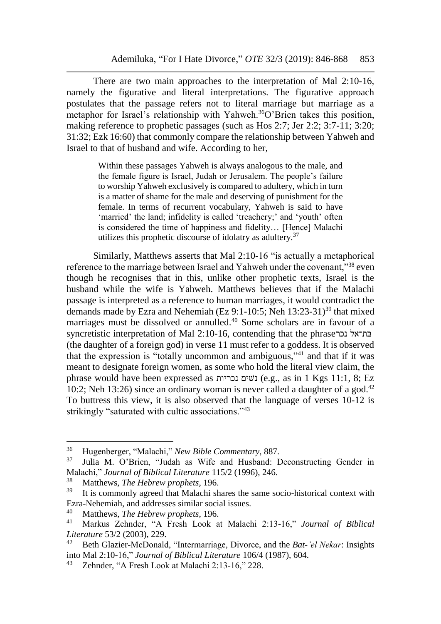There are two main approaches to the interpretation of Mal 2:10-16, namely the figurative and literal interpretations. The figurative approach postulates that the passage refers not to literal marriage but marriage as a metaphor for Israel's relationship with Yahweh.<sup>36</sup>O'Brien takes this position, making reference to prophetic passages (such as Hos 2:7; Jer 2:2; 3:7-11; 3:20; 31:32; Ezk 16:60) that commonly compare the relationship between Yahweh and Israel to that of husband and wife. According to her,

> Within these passages Yahweh is always analogous to the male, and the female figure is Israel, Judah or Jerusalem. The people's failure to worship Yahweh exclusively is compared to adultery, which in turn is a matter of shame for the male and deserving of punishment for the female. In terms of recurrent vocabulary, Yahweh is said to have 'married' the land; infidelity is called 'treachery;' and 'youth' often is considered the time of happiness and fidelity… [Hence] Malachi utilizes this prophetic discourse of idolatry as adultery. $37$

Similarly, Matthews asserts that Mal 2:10-16 "is actually a metaphorical reference to the marriage between Israel and Yahweh under the covenant,"<sup>38</sup> even though he recognises that in this, unlike other prophetic texts, Israel is the husband while the wife is Yahweh. Matthews believes that if the Malachi passage is interpreted as a reference to human marriages, it would contradict the demands made by Ezra and Nehemiah (Ez 9:1-10:5; Neh  $13:23-31$ )<sup>39</sup> that mixed marriages must be dissolved or annulled.<sup>40</sup> Some scholars are in favour of a syncretistic interpretation of Mal 2:10-16, contending that the phrase  $\epsilon$ בת־אל (the daughter of a foreign god) in verse 11 must refer to a goddess. It is observed that the expression is "totally uncommon and ambiguous,"<sup>41</sup> and that if it was meant to designate foreign women, as some who hold the literal view claim, the phrase would have been expressed as נכריות שיםׁנ) e.g., as in 1 Kgs 11:1, 8; Ez 10:2; Neh 13:26) since an ordinary woman is never called a daughter of a god.<sup>42</sup> To buttress this view, it is also observed that the language of verses 10-12 is strikingly "saturated with cultic associations."<sup>43</sup>

<sup>36</sup> Hugenberger, "Malachi," *New Bible Commentary*, 887.

Julia M. O'Brien, "Judah as Wife and Husband: Deconstructing Gender in Malachi," *Journal of Biblical Literature* 115/2 (1996), 246.

<sup>&</sup>lt;sup>38</sup> Matthews, *The Hebrew prophets*, 196.<br><sup>39</sup> It is commonly agreed that Malachi sh

It is commonly agreed that Malachi shares the same socio-historical context with Ezra-Nehemiah, and addresses similar social issues.

<sup>40</sup> Matthews, *The Hebrew prophets*, 196.

<sup>41</sup> Markus Zehnder, "A Fresh Look at Malachi 2:13-16," *Journal of Biblical Literature* 53/2 (2003), 229.

<sup>42</sup> Beth Glazier-McDonald, "Intermarriage, Divorce, and the *Bat-'el Nekar*: Insights into Mal 2:10-16," *Journal of Biblical Literature* 106/4 (1987), 604.

<sup>43</sup> Zehnder, "A Fresh Look at Malachi 2:13-16," 228.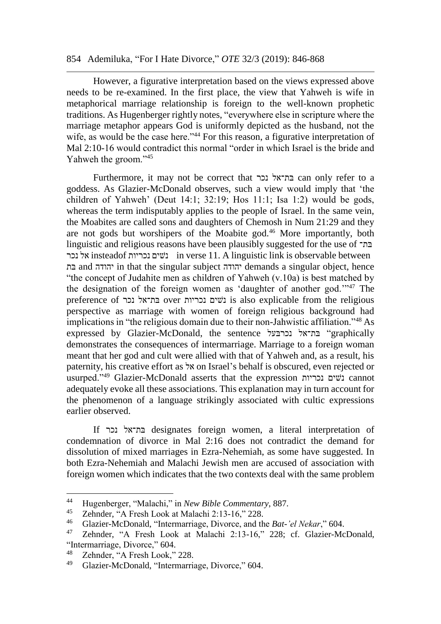#### 854 Ademiluka, "For I Hate Divorce," *OTE* 32/3 (2019): 846-868

However, a figurative interpretation based on the views expressed above needs to be re-examined. In the first place, the view that Yahweh is wife in metaphorical marriage relationship is foreign to the well-known prophetic traditions. As Hugenberger rightly notes, "everywhere else in scripture where the marriage metaphor appears God is uniformly depicted as the husband, not the wife, as would be the case here."<sup>44</sup> For this reason, a figurative interpretation of Mal 2:10-16 would contradict this normal "order in which Israel is the bride and Yahweh the groom."<sup>45</sup>

Furthermore, it may not be correct that נכר בת־אלּ can only refer to a goddess. As Glazier-McDonald observes, such a view would imply that 'the children of Yahweh' (Deut 14:1; 32:19; Hos 11:1; Isa 1:2) would be gods, whereas the term indisputably applies to the people of Israel. In the same vein, the Moabites are called sons and daughters of Chemosh in Num 21:29 and they are not gods but worshipers of the Moabite god.<sup>46</sup> More importantly, both linguistic and religious reasons have been plausibly suggested for the use of בת־ּ נכר אל insteadof נכריות שיםׁנ in verse 11. A linguistic link is observable between בתּ and יהודה in that the singular subject יהודה demands a singular object, hence "the concept of Judahite men as children of Yahweh (v.10a) is best matched by the designation of the foreign women as 'daughter of another god.'"<sup>47</sup> The preference of נכר בת־אלּ over נכריות שיםׁנ is also explicable from the religious perspective as marriage with women of foreign religious background had implications in "the religious domain due to their non-Jahwistic affiliation."<sup>48</sup> As expressed by Glazier-McDonald, the sentence בעלּנכר בת־אלּ" graphically demonstrates the consequences of intermarriage. Marriage to a foreign woman meant that her god and cult were allied with that of Yahweh and, as a result, his paternity, his creative effort as אל on Israel's behalf is obscured, even rejected or usurped."<sup>49</sup> Glazier-McDonald asserts that the expression נכריות שיםׁנ cannot adequately evoke all these associations. This explanation may in turn account for the phenomenon of a language strikingly associated with cultic expressions earlier observed.

If נכר בת־אלּ designates foreign women, a literal interpretation of condemnation of divorce in Mal 2:16 does not contradict the demand for dissolution of mixed marriages in Ezra-Nehemiah, as some have suggested. In both Ezra-Nehemiah and Malachi Jewish men are accused of association with foreign women which indicates that the two contexts deal with the same problem

<sup>44</sup> Hugenberger, "Malachi," in *New Bible Commentary*, 887.

<sup>&</sup>lt;sup>45</sup> Zehnder, "A Fresh Look at Malachi 2:13-16," 228.<br><sup>46</sup> Clazier McDonald "Intermarriage Diverse and the

<sup>46</sup> Glazier-McDonald, "Intermarriage, Divorce, and the *Bat-'el Nekar*," 604.

Zehnder, "A Fresh Look at Malachi 2:13-16," 228; cf. Glazier-McDonald, "Intermarriage, Divorce," 604.<br><sup>48</sup> Zohnder, "A Freeh Look,"

 $^{48}$  Zehnder, "A Fresh Look," 228.

<sup>49</sup> Glazier-McDonald, "Intermarriage, Divorce," 604.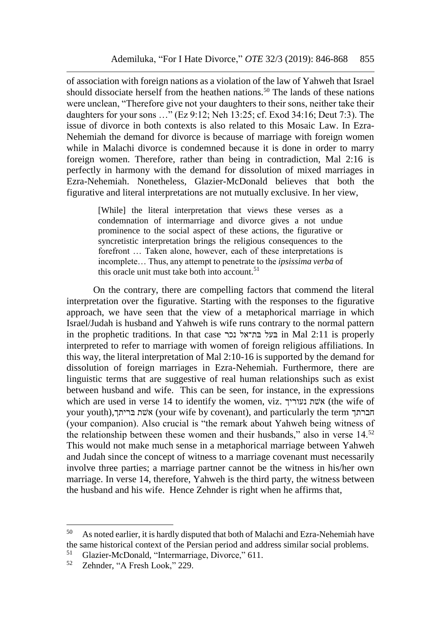of association with foreign nations as a violation of the law of Yahweh that Israel should dissociate herself from the heathen nations.<sup>50</sup> The lands of these nations were unclean, "Therefore give not your daughters to their sons, neither take their daughters for your sons …" (Ez 9:12; Neh 13:25; cf. Exod 34:16; Deut 7:3). The issue of divorce in both contexts is also related to this Mosaic Law. In Ezra-Nehemiah the demand for divorce is because of marriage with foreign women while in Malachi divorce is condemned because it is done in order to marry foreign women. Therefore, rather than being in contradiction, Mal 2:16 is perfectly in harmony with the demand for dissolution of mixed marriages in Ezra-Nehemiah. Nonetheless, Glazier-McDonald believes that both the figurative and literal interpretations are not mutually exclusive. In her view,

> [While] the literal interpretation that views these verses as a condemnation of intermarriage and divorce gives a not undue prominence to the social aspect of these actions, the figurative or syncretistic interpretation brings the religious consequences to the forefront … Taken alone, however, each of these interpretations is incomplete… Thus, any attempt to penetrate to the *ipsissima verba* of this oracle unit must take both into account.<sup>51</sup>

On the contrary, there are compelling factors that commend the literal interpretation over the figurative. Starting with the responses to the figurative approach, we have seen that the view of a metaphorical marriage in which Israel/Judah is husband and Yahweh is wife runs contrary to the normal pattern in the prophetic traditions. In that case נכר בת־אלּ בעלּ in Mal 2:11 is properly interpreted to refer to marriage with women of foreign religious affiliations. In this way, the literal interpretation of Mal 2:10-16 is supported by the demand for dissolution of foreign marriages in Ezra-Nehemiah. Furthermore, there are linguistic terms that are suggestive of real human relationships such as exist between husband and wife. This can be seen, for instance, in the expressions which are used in verse 14 to identify the women, viz. אשת נעוריך (the wife of your youth),בריתךּ שתׁא) your wife by covenant), and particularly the term חברתך (your companion). Also crucial is "the remark about Yahweh being witness of the relationship between these women and their husbands," also in verse  $14$ <sup>52</sup> This would not make much sense in a metaphorical marriage between Yahweh and Judah since the concept of witness to a marriage covenant must necessarily involve three parties; a marriage partner cannot be the witness in his/her own marriage. In verse 14, therefore, Yahweh is the third party, the witness between the husband and his wife. Hence Zehnder is right when he affirms that,

<sup>&</sup>lt;sup>50</sup> As noted earlier, it is hardly disputed that both of Malachi and Ezra-Nehemiah have the same historical context of the Persian period and address similar social problems.<br><sup>51</sup> Clazier McDonald "Intermersiane Diverse" 611

<sup>&</sup>lt;sup>51</sup> Glazier-McDonald, "Intermarriage, Divorce," 611.<br> $\frac{52}{7}$  Zehnder, "A Fresh Look," 229.

Zehnder, "A Fresh Look," 229.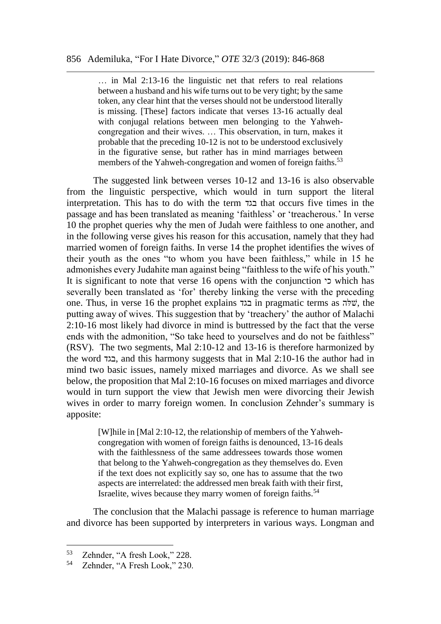… in Mal 2:13-16 the linguistic net that refers to real relations between a husband and his wife turns out to be very tight; by the same token, any clear hint that the verses should not be understood literally is missing. [These] factors indicate that verses 13-16 actually deal with conjugal relations between men belonging to the Yahwehcongregation and their wives. … This observation, in turn, makes it probable that the preceding 10-12 is not to be understood exclusively in the figurative sense, but rather has in mind marriages between members of the Yahweh-congregation and women of foreign faiths.<sup>53</sup>

The suggested link between verses 10-12 and 13-16 is also observable from the linguistic perspective, which would in turn support the literal interpretation. This has to do with the term בגד that occurs five times in the passage and has been translated as meaning 'faithless' or 'treacherous.' In verse 10 the prophet queries why the men of Judah were faithless to one another, and in the following verse gives his reason for this accusation, namely that they had married women of foreign faiths. In verse 14 the prophet identifies the wives of their youth as the ones "to whom you have been faithless," while in 15 he admonishes every Judahite man against being "faithless to the wife of his youth." It is significant to note that verse 16 opens with the conjunction כי which has severally been translated as 'for' thereby linking the verse with the preceding one. Thus, in verse 16 the prophet explains בגד in pragmatic terms as להּשׁ, the putting away of wives. This suggestion that by 'treachery' the author of Malachi 2:10-16 most likely had divorce in mind is buttressed by the fact that the verse ends with the admonition, "So take heed to yourselves and do not be faithless" (RSV). The two segments, Mal 2:10-12 and 13-16 is therefore harmonized by the word בגד, and this harmony suggests that in Mal 2:10-16 the author had in mind two basic issues, namely mixed marriages and divorce. As we shall see below, the proposition that Mal 2:10-16 focuses on mixed marriages and divorce would in turn support the view that Jewish men were divorcing their Jewish wives in order to marry foreign women. In conclusion Zehnder's summary is apposite:

> [W]hile in [Mal 2:10-12, the relationship of members of the Yahwehcongregation with women of foreign faiths is denounced, 13-16 deals with the faithlessness of the same addressees towards those women that belong to the Yahweh-congregation as they themselves do. Even if the text does not explicitly say so, one has to assume that the two aspects are interrelated: the addressed men break faith with their first, Israelite, wives because they marry women of foreign faiths.<sup>54</sup>

The conclusion that the Malachi passage is reference to human marriage and divorce has been supported by interpreters in various ways. Longman and

l

 $\frac{53}{54}$  Zehnder, "A fresh Look," 228.

Zehnder, "A Fresh Look," 230.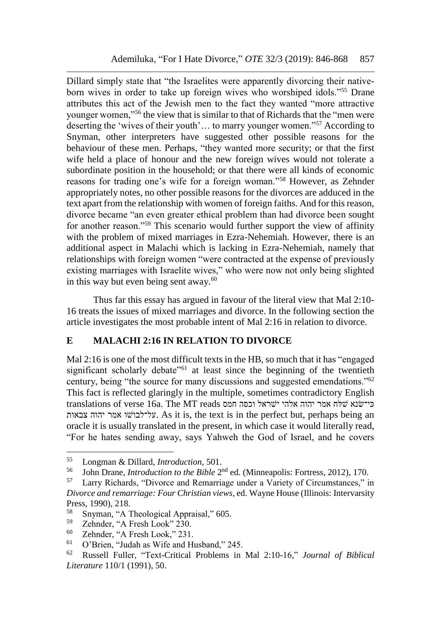Dillard simply state that "the Israelites were apparently divorcing their nativeborn wives in order to take up foreign wives who worshiped idols."<sup>55</sup> Drane attributes this act of the Jewish men to the fact they wanted "more attractive younger women,"<sup>56</sup> the view that is similar to that of Richards that the "men were deserting the 'wives of their youth'… to marry younger women."<sup>57</sup> According to Snyman, other interpreters have suggested other possible reasons for the behaviour of these men. Perhaps, "they wanted more security; or that the first wife held a place of honour and the new foreign wives would not tolerate a subordinate position in the household; or that there were all kinds of economic reasons for trading one's wife for a foreign woman."<sup>58</sup> However, as Zehnder appropriately notes, no other possible reasons for the divorces are adduced in the text apart from the relationship with women of foreign faiths. And for this reason, divorce became "an even greater ethical problem than had divorce been sought for another reason."<sup>59</sup> This scenario would further support the view of affinity with the problem of mixed marriages in Ezra-Nehemiah. However, there is an additional aspect in Malachi which is lacking in Ezra-Nehemiah, namely that relationships with foreign women "were contracted at the expense of previously existing marriages with Israelite wives," who were now not only being slighted in this way but even being sent away. $60$ 

Thus far this essay has argued in favour of the literal view that Mal 2:10- 16 treats the issues of mixed marriages and divorce. In the following section the article investigates the most probable intent of Mal 2:16 in relation to divorce.

## **E MALACHI 2:16 IN RELATION TO DIVORCE**

Mal 2:16 is one of the most difficult texts in the HB, so much that it has "engaged significant scholarly debate<sup>"61</sup> at least since the beginning of the twentieth century, being "the source for many discussions and suggested emendations."<sup>62</sup> This fact is reflected glaringly in the multiple, sometimes contradictory English translations of verse 16a. The MT reads כי־שנא שלח אמר יהוה אלהי ישראל וכסה חמס צבאות יהוה אמר שוׁעל־לבו. As it is, the text is in the perfect but, perhaps being an oracle it is usually translated in the present, in which case it would literally read, "For he hates sending away, says Yahweh the God of Israel, and he covers

<sup>55</sup> <sup>55</sup> Longman & Dillard, *Introduction*, 501.

<sup>&</sup>lt;sup>56</sup> John Drane, *Introduction to the Bible* 2<sup>nd</sup> ed. (Minneapolis: Fortress, 2012), 170.

<sup>57</sup> Larry Richards, "Divorce and Remarriage under a Variety of Circumstances," in *Divorce and remarriage: Four Christian views*, ed. Wayne House (Illinois: Intervarsity Press, 1990), 218.

 $^{58}$  Snyman, "A Theological Appraisal," 605.<br> $^{59}$  Zobndor "A Fresh Look" 230

 $^{59}$  Zehnder, "A Fresh Look" 230.<br> $^{60}$  Zehnder, "A Fresh Look" 221.

<sup>&</sup>lt;sup>60</sup> Zehnder, "A Fresh Look," 231.<br><sup>61</sup> O'Prior, "Judah as Wife and H

<sup>&</sup>lt;sup>61</sup> O'Brien, "Judah as Wife and Husband," 245.<br><sup>62</sup> Pussell, Fuller, "Text Critical Problems in

<sup>62</sup> Russell Fuller, "Text-Critical Problems in Mal 2:10-16," *Journal of Biblical Literature* 110/1 (1991), 50.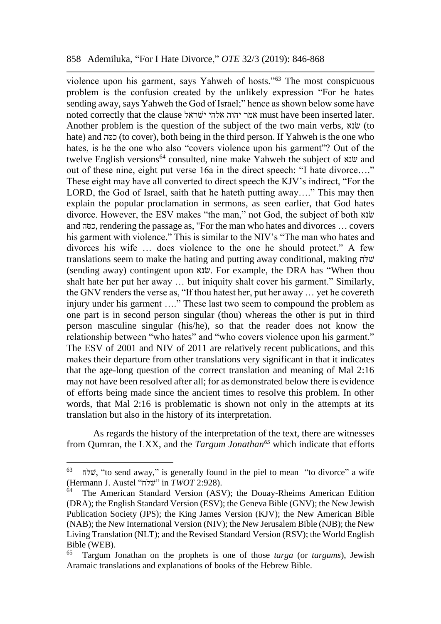violence upon his garment, says Yahweh of hosts."<sup>63</sup> The most conspicuous problem is the confusion created by the unlikely expression "For he hates sending away, says Yahweh the God of Israel;" hence as shown below some have noted correctly that the clause שראלׁי אלהי יהוה אמר must have been inserted later. Another problem is the question of the subject of the two main verbs, אוֹנא (to hate) and סהּכ) to cover), both being in the third person. If Yahweh is the one who hates, is he the one who also "covers violence upon his garment"? Out of the twelve English versions<sup>64</sup> consulted, nine make Yahweh the subject of שנא out of these nine, eight put verse 16a in the direct speech: "I hate divorce…." These eight may have all converted to direct speech the KJV's indirect, "For the LORD, the God of Israel, saith that he hateth putting away...." This may then explain the popular proclamation in sermons, as seen earlier, that God hates divorce. However, the ESV makes "the man," not God, the subject of both שנאׂ and סהּכ, rendering the passage as, "For the man who hates and divorces … covers his garment with violence." This is similar to the NIV's "The man who hates and divorces his wife … does violence to the one he should protect." A few translations seem to make the hating and putting away conditional, making לחּשׁ (sending away) contingent upon שנאׂ. For example, the DRA has "When thou shalt hate her put her away … but iniquity shalt cover his garment." Similarly, the GNV renders the verse as, "If thou hatest her, put her away … yet he covereth injury under his garment …." These last two seem to compound the problem as one part is in second person singular (thou) whereas the other is put in third person masculine singular (his/he), so that the reader does not know the relationship between "who hates" and "who covers violence upon his garment." The ESV of 2001 and NIV of 2011 are relatively recent publications, and this makes their departure from other translations very significant in that it indicates that the age-long question of the correct translation and meaning of Mal 2:16 may not have been resolved after all; for as demonstrated below there is evidence of efforts being made since the ancient times to resolve this problem. In other words, that Mal 2:16 is problematic is shown not only in the attempts at its translation but also in the history of its interpretation.

As regards the history of the interpretation of the text, there are witnesses from Qumran, the LXX, and the *Targum Jonathan<sup>65</sup>* which indicate that efforts

 $63$  שלח "to send away," is generally found in the piel to mean "to divorce" a wife (Hermann J. Austel "שלחׁ "in *TWOT* 2:928).

<sup>64</sup> The American Standard Version (ASV); the Douay-Rheims American Edition (DRA); the English Standard Version (ESV); the Geneva Bible (GNV); the New Jewish Publication Society (JPS); the King James Version (KJV); the New American Bible (NAB); the New International Version (NIV); the New Jerusalem Bible (NJB); the New Living Translation (NLT); and the Revised Standard Version (RSV); the World English Bible (WEB).<br> $^{65}$  Tergum 1

<sup>65</sup> Targum Jonathan on the prophets is one of those *targa* (or *targums*), Jewish Aramaic translations and explanations of books of the Hebrew Bible.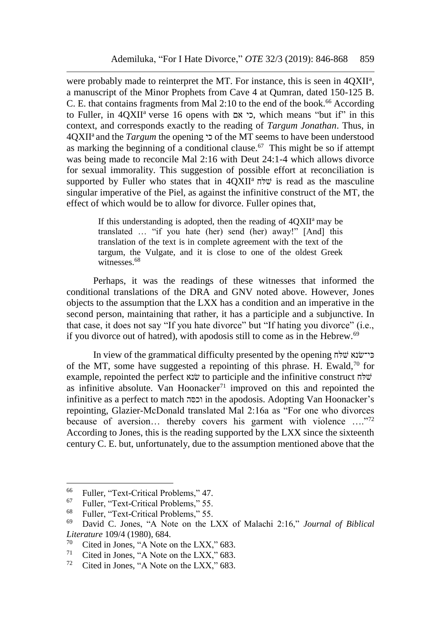were probably made to reinterpret the MT. For instance, this is seen in 4QXII<sup>a</sup>, a manuscript of the Minor Prophets from Cave 4 at Qumran, dated 150-125 B. C. E. that contains fragments from Mal  $2:10$  to the end of the book.<sup>66</sup> According to Fuller, in 4QXII<sup>a</sup> verse 16 opens with כי, which means "but if" in this context, and corresponds exactly to the reading of *Targum Jonathan*. Thus, in 4QXII<sup>a</sup>and the *Targum* the opening כי of the MT seems to have been understood as marking the beginning of a conditional clause. $67$  This might be so if attempt was being made to reconcile Mal 2:16 with Deut 24:1-4 which allows divorce for sexual immorality. This suggestion of possible effort at reconciliation is supported by Fuller who states that in  $4QXII^a$  is read as the masculine singular imperative of the Piel, as against the infinitive construct of the MT, the effect of which would be to allow for divorce. Fuller opines that,

> If this understanding is adopted, then the reading of  $4QXII^a$  may be translated … "if you hate (her) send (her) away!" [And] this translation of the text is in complete agreement with the text of the targum, the Vulgate, and it is close to one of the oldest Greek witnesses.<sup>68</sup>

Perhaps, it was the readings of these witnesses that informed the conditional translations of the DRA and GNV noted above. However, Jones objects to the assumption that the LXX has a condition and an imperative in the second person, maintaining that rather, it has a participle and a subjunctive. In that case, it does not say "If you hate divorce" but "If hating you divorce" (i.e., if you divorce out of hatred), with apodosis still to come as in the Hebrew.<sup>69</sup>

In view of the grammatical difficulty presented by the opening  $\vec{v}$ לה of the MT, some have suggested a repointing of this phrase. H. Ewald,  $70$  for example, repointed the perfect שנא
to participle and the infinitive construct  $\vec{v}$ as infinitive absolute. Van Hoonacker<sup>71</sup> improved on this and repointed the infinitive as a perfect to match סהּוכ in the apodosis. Adopting Van Hoonacker's repointing, Glazier-McDonald translated Mal 2:16a as "For one who divorces because of aversion... thereby covers his garment with violence ...."72 According to Jones, this is the reading supported by the LXX since the sixteenth century C. E. but, unfortunately, due to the assumption mentioned above that the

l

<sup>&</sup>lt;sup>66</sup> Fuller, "Text-Critical Problems," 47.<br><sup>67</sup> Evller, "Text Critical Problems," 55.

<sup>&</sup>lt;sup>67</sup> Fuller, "Text-Critical Problems," 55.<br><sup>68</sup> Evller, "Text Critical Problems," 55.

<sup>&</sup>lt;sup>68</sup> Fuller, "Text-Critical Problems," 55.<br><sup>69</sup> David C. Jones, "A Note on the L

<sup>69</sup> David C. Jones, "A Note on the LXX of Malachi 2:16," *Journal of Biblical Literature* 109/4 (1980), 684.

<sup>&</sup>lt;sup>70</sup> Cited in Jones, "A Note on the LXX," 683.<br><sup>71</sup> Cited in Jones, "A Note on the LXX," 683.

<sup>&</sup>lt;sup>71</sup> Cited in Jones, "A Note on the LXX," 683.<br><sup>72</sup> Cited in Jones. "A Note on the LXX," 683.

Cited in Jones, "A Note on the LXX," 683.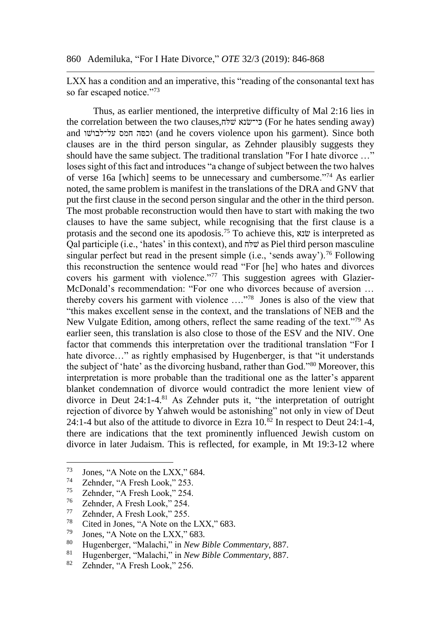LXX has a condition and an imperative, this "reading of the consonantal text has so far escaped notice."<sup>73</sup>

Thus, as earlier mentioned, the interpretive difficulty of Mal 2:16 lies in the correlation between the two clauses, $\vec{v}$ ו פי־שׂנא שלח) (For he hates sending away) and וכסה חמס על־לבושו (and he covers violence upon his garment). Since both clauses are in the third person singular, as Zehnder plausibly suggests they should have the same subject. The traditional translation "For I hate divorce …" loses sight of this fact and introduces "a change of subject between the two halves of verse 16a [which] seems to be unnecessary and cumbersome."<sup>74</sup> As earlier noted, the same problem is manifest in the translations of the DRA and GNV that put the first clause in the second person singular and the other in the third person. The most probable reconstruction would then have to start with making the two clauses to have the same subject, while recognising that the first clause is a protasis and the second one its apodosis.<sup>75</sup> To achieve this, שנאׂ is interpreted as  $Q$ al participle (i.e., 'hates' in this context), and  $\vec{q}$  w as Piel third person masculine singular perfect but read in the present simple (i.e., 'sends away').<sup>76</sup> Following this reconstruction the sentence would read "For [he] who hates and divorces covers his garment with violence."<sup>77</sup> This suggestion agrees with Glazier-McDonald's recommendation: "For one who divorces because of aversion … thereby covers his garment with violence …."<sup>78</sup> Jones is also of the view that "this makes excellent sense in the context, and the translations of NEB and the New Vulgate Edition, among others, reflect the same reading of the text."<sup>79</sup> As earlier seen, this translation is also close to those of the ESV and the NIV. One factor that commends this interpretation over the traditional translation "For I hate divorce..." as rightly emphasised by Hugenberger, is that "it understands" the subject of 'hate' as the divorcing husband, rather than God."<sup>80</sup> Moreover, this interpretation is more probable than the traditional one as the latter's apparent blanket condemnation of divorce would contradict the more lenient view of divorce in Deut 24:1-4.<sup>81</sup> As Zehnder puts it, "the interpretation of outright rejection of divorce by Yahweh would be astonishing" not only in view of Deut 24:1-4 but also of the attitude to divorce in Ezra  $10^{82}$  In respect to Deut 24:1-4, there are indications that the text prominently influenced Jewish custom on divorce in later Judaism. This is reflected, for example, in Mt 19:3-12 where

<sup>73</sup>  $^{73}$  Jones, "A Note on the LXX," 684.<br> $^{74}$  Zahndar, "A Freeh Look," 253

 $\frac{74}{75}$  Zehnder, "A Fresh Look," 253.

 $\frac{75}{76}$  Zehnder, "A Fresh Look," 254.

 $\frac{76}{77}$  Zehnder, A Fresh Look," 254.

 $\frac{77}{78}$  Zehnder, A Fresh Look," 255.

<sup>&</sup>lt;sup>78</sup> Cited in Jones, "A Note on the LXX," 683.<br><sup>79</sup> Longs "A Note on the LXX" 683.

<sup>&</sup>lt;sup>79</sup> Jones, "A Note on the LXX," 683.<br><sup>80</sup> Hygenborger "Melechi" in New E

<sup>80</sup> Hugenberger, "Malachi," in *New Bible Commentary*, 887.

<sup>81</sup> Hugenberger, "Malachi," in *New Bible Commentary*, 887.

Zehnder, "A Fresh Look," 256.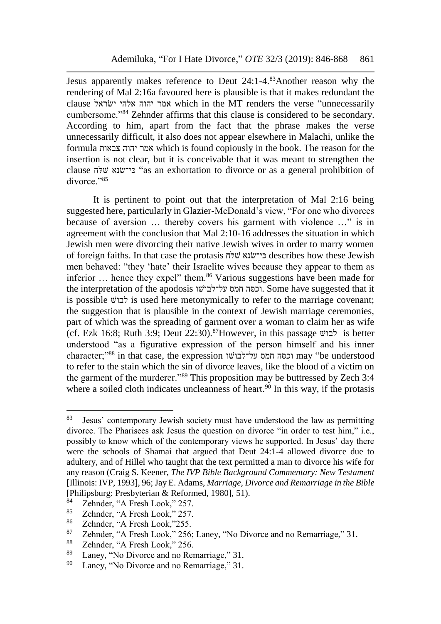Jesus apparently makes reference to Deut 24:1-4.<sup>83</sup>Another reason why the rendering of Mal 2:16a favoured here is plausible is that it makes redundant the clause שראלׂי אלהי יהוה אמר which in the MT renders the verse "unnecessarily cumbersome."<sup>84</sup> Zehnder affirms that this clause is considered to be secondary. According to him, apart from the fact that the phrase makes the verse unnecessarily difficult, it also does not appear elsewhere in Malachi, unlike the formula צבאות יהוה אמר which is found copiously in the book. The reason for the insertion is not clear, but it is conceivable that it was meant to strengthen the clause לחּשׁ שנאׂכי־ּ" as an exhortation to divorce or as a general prohibition of divorce."<sup>85</sup>

It is pertinent to point out that the interpretation of Mal 2:16 being suggested here, particularly in Glazier-McDonald's view, "For one who divorces because of aversion … thereby covers his garment with violence …" is in agreement with the conclusion that Mal 2:10-16 addresses the situation in which Jewish men were divorcing their native Jewish wives in order to marry women of foreign faiths. In that case the protasis לחּשׁ שנאׂכי־ּ describes how these Jewish men behaved: "they 'hate' their Israelite wives because they appear to them as inferior  $\ldots$  hence they expel" them.<sup>86</sup> Various suggestions have been made for the interpretation of the apodosis שוׁעל־לבו חמס סהּוכ. Some have suggested that it is possible  $\forall$ בו $\forall$  is used here metonymically to refer to the marriage covenant; the suggestion that is plausible in the context of Jewish marriage ceremonies, part of which was the spreading of garment over a woman to claim her as wife (cf. Ezk 16:8; Ruth 3:9; Deut 22:30).<sup>87</sup>However, in this passage שׁלבו is better understood "as a figurative expression of the person himself and his inner character;"<sup>88</sup> in that case, the expression שוׁעל־לבו חמס סהּוכ may "be understood to refer to the stain which the sin of divorce leaves, like the blood of a victim on the garment of the murderer."<sup>89</sup> This proposition may be buttressed by Zech 3:4 where a soiled cloth indicates uncleanness of heart.<sup>90</sup> In this way, if the protasis

<sup>83</sup> Jesus' contemporary Jewish society must have understood the law as permitting divorce. The Pharisees ask Jesus the question on divorce "in order to test him," i.e., possibly to know which of the contemporary views he supported. In Jesus' day there were the schools of Shamai that argued that Deut 24:1-4 allowed divorce due to adultery, and of Hillel who taught that the text permitted a man to divorce his wife for any reason (Craig S. Keener, *The IVP Bible Background Commentary: New Testament* [Illinois: IVP, 1993], 96; Jay E. Adams, *Marriage, Divorce and Remarriage in the Bible* [Philipsburg: Presbyterian & Reformed, 1980], 51).

 $^{84}$  Zehnder, "A Fresh Look," 257.<br> $^{85}$  Zehnder, "A Fresh Look," 257.

 $\frac{85}{86}$  Zehnder, "A Fresh Look," 257.

 $^{86}$  Zehnder, "A Fresh Look,"255.<br> $^{87}$  Zehnder, "A Fresh Look," 256.

<sup>&</sup>lt;sup>87</sup> Zehnder, "A Fresh Look," 256; Laney, "No Divorce and no Remarriage," 31.<br><sup>88</sup> Zehnder, "A Fresh Look," 256

<sup>&</sup>lt;sup>88</sup> Zehnder, "A Fresh Look," 256.<br><sup>89</sup> Laney, "No Diverse and no Bet

<sup>&</sup>lt;sup>89</sup> Laney, "No Divorce and no Remarriage," 31.<br><sup>90</sup> Laney, "No Divorce and no Remarriage" 31.

Laney, "No Divorce and no Remarriage," 31.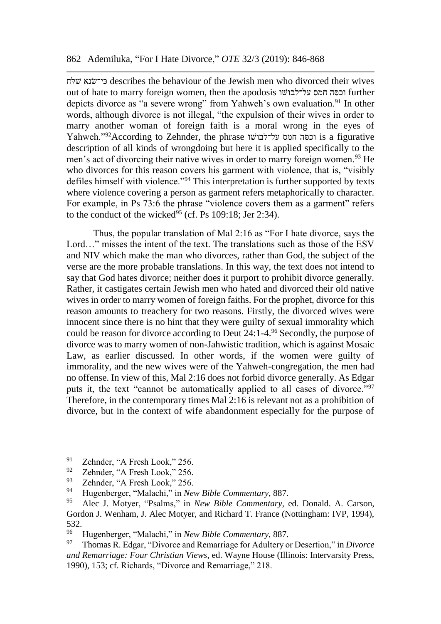לחּשׁ שנאׂכי־ּ describes the behaviour of the Jewish men who divorced their wives out of hate to marry foreign women, then the apodosis שוׁעל־לבו חמס סהּוכ further depicts divorce as "a severe wrong" from Yahweh's own evaluation.<sup>91</sup> In other words, although divorce is not illegal, "the expulsion of their wives in order to marry another woman of foreign faith is a moral wrong in the eyes of Yahweh."<sup>92</sup>According to Zehnder, the phrase על־לבושו nis a figurative description of all kinds of wrongdoing but here it is applied specifically to the men's act of divorcing their native wives in order to marry foreign women.<sup>93</sup> He who divorces for this reason covers his garment with violence, that is, "visibly defiles himself with violence."<sup>94</sup> This interpretation is further supported by texts where violence covering a person as garment refers metaphorically to character. For example, in Ps 73:6 the phrase "violence covers them as a garment" refers to the conduct of the wicked<sup>95</sup> (cf. Ps 109:18; Jer 2:34).

Thus, the popular translation of Mal 2:16 as "For I hate divorce, says the Lord..." misses the intent of the text. The translations such as those of the ESV and NIV which make the man who divorces, rather than God, the subject of the verse are the more probable translations. In this way, the text does not intend to say that God hates divorce; neither does it purport to prohibit divorce generally. Rather, it castigates certain Jewish men who hated and divorced their old native wives in order to marry women of foreign faiths. For the prophet, divorce for this reason amounts to treachery for two reasons. Firstly, the divorced wives were innocent since there is no hint that they were guilty of sexual immorality which could be reason for divorce according to Deut 24:1-4.<sup>96</sup> Secondly, the purpose of divorce was to marry women of non-Jahwistic tradition, which is against Mosaic Law, as earlier discussed. In other words, if the women were guilty of immorality, and the new wives were of the Yahweh-congregation, the men had no offense. In view of this, Mal 2:16 does not forbid divorce generally. As Edgar puts it, the text "cannot be automatically applied to all cases of divorce."<sup>97</sup> Therefore, in the contemporary times Mal 2:16 is relevant not as a prohibition of divorce, but in the context of wife abandonment especially for the purpose of

<sup>91</sup> <sup>91</sup> Zehnder, "A Fresh Look," 256.<br><sup>92</sup> Zehnder, "A Fresh Look," 256.

<sup>&</sup>lt;sup>92</sup> Zehnder, "A Fresh Look," 256.<br><sup>93</sup> Zehnder, "A Fresh Look," 256.

<sup>&</sup>lt;sup>93</sup> Zehnder, "A Fresh Look," 256.

<sup>94</sup> Hugenberger, "Malachi," in *New Bible Commentary*, 887.

<sup>95</sup> Alec J. Motyer, "Psalms," in *New Bible Commentary,* ed. Donald. A. Carson, Gordon J. Wenham, J. Alec Motyer, and Richard T. France (Nottingham: IVP, 1994), 532.

<sup>96</sup> Hugenberger, "Malachi," in *New Bible Commentary*, 887.

<sup>97</sup> Thomas R. Edgar, "Divorce and Remarriage for Adultery or Desertion," in *Divorce and Remarriage: Four Christian Views*, ed. Wayne House (Illinois: Intervarsity Press, 1990), 153; cf. Richards, "Divorce and Remarriage," 218.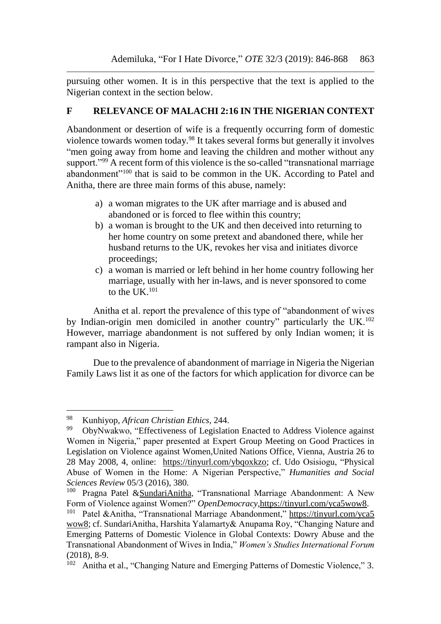pursuing other women. It is in this perspective that the text is applied to the Nigerian context in the section below.

## **F RELEVANCE OF MALACHI 2:16 IN THE NIGERIAN CONTEXT**

Abandonment or desertion of wife is a frequently occurring form of domestic violence towards women today.<sup>98</sup> It takes several forms but generally it involves "men going away from home and leaving the children and mother without any support."<sup>99</sup> A recent form of this violence is the so-called "transnational marriage" abandonment"<sup>100</sup> that is said to be common in the UK. According to Patel and Anitha, there are three main forms of this abuse, namely:

- a) a woman migrates to the UK after marriage and is abused and abandoned or is forced to flee within this country;
- b) a woman is brought to the UK and then deceived into returning to her home country on some pretext and abandoned there, while her husband returns to the UK, revokes her visa and initiates divorce proceedings;
- c) a woman is married or left behind in her home country following her marriage, usually with her in-laws, and is never sponsored to come to the UK.<sup>101</sup>

Anitha et al. report the prevalence of this type of "abandonment of wives by Indian-origin men domiciled in another country" particularly the UK.<sup>102</sup> However, marriage abandonment is not suffered by only Indian women; it is rampant also in Nigeria.

Due to the prevalence of abandonment of marriage in Nigeria the Nigerian Family Laws list it as one of the factors for which application for divorce can be

<sup>98</sup> Kunhiyop, *African Christian Ethics*, 244.

<sup>99</sup> ObyNwakwo, "Effectiveness of Legislation Enacted to Address Violence against Women in Nigeria," paper presented at Expert Group Meeting on Good Practices in Legislation on Violence against Women,United Nations Office, Vienna, Austria 26 to 28 May 2008, 4, online: [https://tinyurl.com/ybqoxkzo;](https://tinyurl.com/ybqoxkzo) cf. Udo Osisiogu, "Physical Abuse of Women in the Home: A Nigerian Perspective," *Humanities and Social Sciences Review* 05/3 (2016), 380.

<sup>&</sup>lt;sup>100</sup> Pragna Patel & SundariAnitha, "Transnational Marriage Abandonment: A New Form of Violence against Women?" *OpenDemocracy,*[https://tinyurl.com/yca5wow8.](https://tinyurl.com/yca5wow8)

<sup>101</sup> Patel &Anitha, "Transnational Marriage Abandonment," [https://tinyurl.com/yca5](https://tinyurl.com/yca5%20wow8)  [wow8;](https://tinyurl.com/yca5%20wow8) cf. SundariAnitha, Harshita Yalamarty& Anupama Roy, "Changing Nature and Emerging Patterns of Domestic Violence in Global Contexts: Dowry Abuse and the Transnational Abandonment of Wives in India," *Women's Studies International Forum* (2018), 8-9.

<sup>102</sup> Anitha et al., "Changing Nature and Emerging Patterns of Domestic Violence," 3.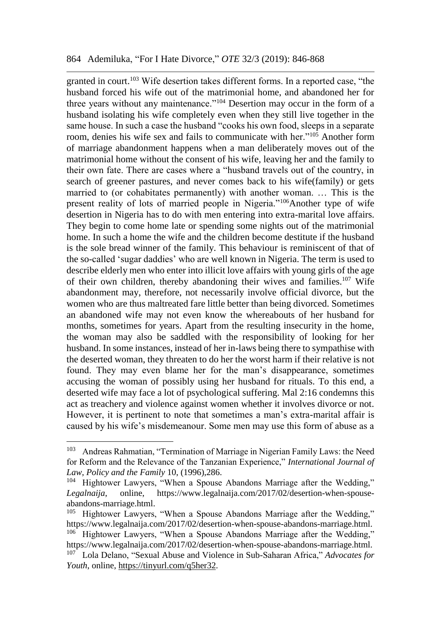granted in court.<sup>103</sup> Wife desertion takes different forms. In a reported case, "the husband forced his wife out of the matrimonial home, and abandoned her for three years without any maintenance."<sup>104</sup> Desertion may occur in the form of a husband isolating his wife completely even when they still live together in the same house. In such a case the husband "cooks his own food, sleeps in a separate room, denies his wife sex and fails to communicate with her."<sup>105</sup> Another form of marriage abandonment happens when a man deliberately moves out of the matrimonial home without the consent of his wife, leaving her and the family to their own fate. There are cases where a "husband travels out of the country, in search of greener pastures, and never comes back to his wife(family) or gets married to (or cohabitates permanently) with another woman. … This is the present reality of lots of married people in Nigeria."<sup>106</sup>Another type of wife desertion in Nigeria has to do with men entering into extra-marital love affairs. They begin to come home late or spending some nights out of the matrimonial home. In such a home the wife and the children become destitute if the husband is the sole bread winner of the family. This behaviour is reminiscent of that of the so-called 'sugar daddies' who are well known in Nigeria. The term is used to describe elderly men who enter into illicit love affairs with young girls of the age of their own children, thereby abandoning their wives and families.<sup>107</sup> Wife abandonment may, therefore, not necessarily involve official divorce, but the women who are thus maltreated fare little better than being divorced. Sometimes an abandoned wife may not even know the whereabouts of her husband for months, sometimes for years. Apart from the resulting insecurity in the home, the woman may also be saddled with the responsibility of looking for her husband. In some instances, instead of her in-laws being there to sympathise with the deserted woman, they threaten to do her the worst harm if their relative is not found. They may even blame her for the man's disappearance, sometimes accusing the woman of possibly using her husband for rituals. To this end, a deserted wife may face a lot of psychological suffering. Mal 2:16 condemns this act as treachery and violence against women whether it involves divorce or not. However, it is pertinent to note that sometimes a man's extra-marital affair is caused by his wife's misdemeanour. Some men may use this form of abuse as a

<sup>103</sup> Andreas Rahmatian, "Termination of Marriage in Nigerian Family Laws: the Need for Reform and the Relevance of the Tanzanian Experience," *International Journal of Law, Policy and the Family* 10, (1996),286.

<sup>&</sup>lt;sup>104</sup> Hightower Lawyers, "When a Spouse Abandons Marriage after the Wedding," *Legalnaija*, online, https://www.legalnaija.com/2017/02/desertion-when-spouseabandons-marriage.html.

<sup>&</sup>lt;sup>105</sup> Hightower Lawyers, "When a Spouse Abandons Marriage after the Wedding," https://www.legalnaija.com/2017/02/desertion-when-spouse-abandons-marriage.html.

<sup>&</sup>lt;sup>106</sup> Hightower Lawyers, "When a Spouse Abandons Marriage after the Wedding," https://www.legalnaija.com/2017/02/desertion-when-spouse-abandons-marriage.html. <sup>107</sup> Lola Delano, "Sexual Abuse and Violence in Sub-Saharan Africa," *Advocates for Youth*, online, [https://tinyurl.com/q5her32.](https://tinyurl.com/q5her32)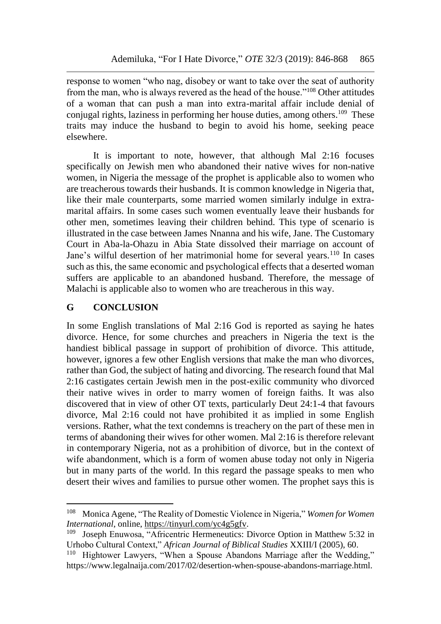response to women "who nag, disobey or want to take over the seat of authority from the man, who is always revered as the head of the house."<sup>108</sup> Other attitudes of a woman that can push a man into extra-marital affair include denial of conjugal rights, laziness in performing her house duties, among others.<sup>109</sup> These traits may induce the husband to begin to avoid his home, seeking peace elsewhere.

It is important to note, however, that although Mal 2:16 focuses specifically on Jewish men who abandoned their native wives for non-native women, in Nigeria the message of the prophet is applicable also to women who are treacherous towards their husbands. It is common knowledge in Nigeria that, like their male counterparts, some married women similarly indulge in extramarital affairs. In some cases such women eventually leave their husbands for other men, sometimes leaving their children behind. This type of scenario is illustrated in the case between James Nnanna and his wife, Jane. The Customary Court in Aba-la-Ohazu in Abia State dissolved their marriage on account of Jane's wilful desertion of her matrimonial home for several years.<sup>110</sup> In cases such as this, the same economic and psychological effects that a deserted woman suffers are applicable to an abandoned husband. Therefore, the message of Malachi is applicable also to women who are treacherous in this way.

## **G CONCLUSION**

 $\overline{a}$ 

In some English translations of Mal 2:16 God is reported as saying he hates divorce. Hence, for some churches and preachers in Nigeria the text is the handiest biblical passage in support of prohibition of divorce. This attitude, however, ignores a few other English versions that make the man who divorces, rather than God, the subject of hating and divorcing. The research found that Mal 2:16 castigates certain Jewish men in the post-exilic community who divorced their native wives in order to marry women of foreign faiths. It was also discovered that in view of other OT texts, particularly Deut 24:1-4 that favours divorce, Mal 2:16 could not have prohibited it as implied in some English versions. Rather, what the text condemns is treachery on the part of these men in terms of abandoning their wives for other women. Mal 2:16 is therefore relevant in contemporary Nigeria, not as a prohibition of divorce, but in the context of wife abandonment, which is a form of women abuse today not only in Nigeria but in many parts of the world. In this regard the passage speaks to men who desert their wives and families to pursue other women. The prophet says this is

<sup>108</sup> Monica Agene, "The Reality of Domestic Violence in Nigeria," *Women for Women International*, online, [https://tinyurl.com/yc4g5gfv.](https://tinyurl.com/yc4g5gfv)

<sup>109</sup> Joseph Enuwosa, "Africentric Hermeneutics: Divorce Option in Matthew 5:32 in Urhobo Cultural Context," *African Journal of Biblical Studies* XXIII/I (2005), 60.

Hightower Lawyers, "When a Spouse Abandons Marriage after the Wedding," https://www.legalnaija.com/2017/02/desertion-when-spouse-abandons-marriage.html.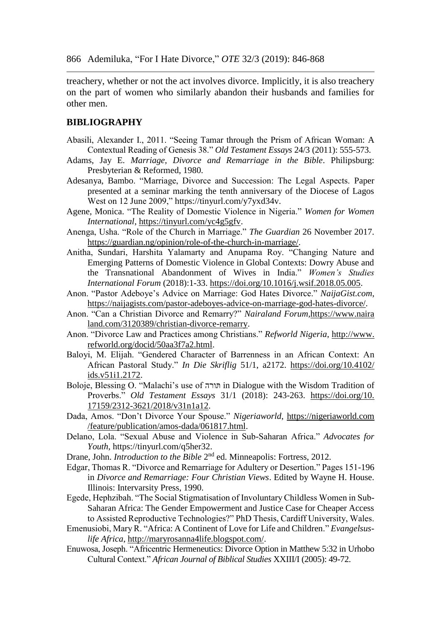treachery, whether or not the act involves divorce. Implicitly, it is also treachery on the part of women who similarly abandon their husbands and families for other men.

#### **BIBLIOGRAPHY**

- Abasili, Alexander I., 2011. "Seeing Tamar through the Prism of African Woman: A Contextual Reading of Genesis 38." *Old Testament Essays* 24/3 (2011): 555-573.
- Adams, Jay E. *Marriage, Divorce and Remarriage in the Bible*. Philipsburg: Presbyterian & Reformed, 1980.
- Adesanya, Bambo. "Marriage, Divorce and Succession: The Legal Aspects. Paper presented at a seminar marking the tenth anniversary of the Diocese of Lagos West on 12 June 2009," https://tinyurl.com/y7yxd34v.
- Agene, Monica. "The Reality of Domestic Violence in Nigeria." *Women for Women International*, [https://tinyurl.com/yc4g5gfv.](https://tinyurl.com/yc4g5gfv)
- Anenga, Usha. "Role of the Church in Marriage." *The Guardian* 26 November 2017. [https://guardian.ng/opinion/role-of-the-church-in-marriage/.](https://guardian.ng/opinion/role-of-the-church-in-marriage/)
- Anitha, Sundari, Harshita Yalamarty and Anupama Roy. "Changing Nature and Emerging Patterns of Domestic Violence in Global Contexts: Dowry Abuse and the Transnational Abandonment of Wives in India." *Women's Studies International Forum* (2018):1-33. [https://doi.org/10.1016/j.wsif.2018.05.005.](https://doi.org/10.1016/j.wsif.2018.05.005)
- Anon. "Pastor Adeboye's Advice on Marriage: God Hates Divorce." *NaijaGist.com*, [https://naijagists.com/pastor-adeboyes-advice-on-marriage-god-hates-divorce/.](https://naijagists.com/pastor-adeboyes-advice-on-marriage-god-hates-divorce/)
- Anon. "Can a Christian Divorce and Remarry?" *Nairaland Forum,*https://www.naira land.com/3120389/christian-divorce-remarry.
- Anon. "Divorce Law and Practices among Christians." *Refworld Nigeria*, http://www. refworld.org/docid/50aa3f7a2.html.
- Baloyi, M. Elijah. "Gendered Character of Barrenness in an African Context: An African Pastoral Study." *In Die Skriflig* 51/1, a2172. [https://doi.org/10.4102/](https://doi.org/10.4102/%20ids.v51i1.2172)  [ids.v51i1.2172.](https://doi.org/10.4102/%20ids.v51i1.2172)
- Boloje, Blessing O. "Malachi's use of תורהּ in Dialogue with the Wisdom Tradition of Proverbs." *Old Testament Essays* 31/1 (2018): 243-263. [https://doi.org/10.](https://doi.org/10.%2017159/2312-3621/2018/v31n1a12)  [17159/2312-3621/2018/v31n1a12.](https://doi.org/10.%2017159/2312-3621/2018/v31n1a12)
- Dada, Amos. "Don't Divorce Your Spouse." *Nigeriaworld*, https://nigeriaworld.com /feature/publication/amos-dada/061817.html.
- Delano, Lola. "Sexual Abuse and Violence in Sub-Saharan Africa." *Advocates for Youth*, https://tinyurl.com/q5her32.
- Drane, John. *Introduction to the Bible* 2<sup>nd</sup> ed. Minneapolis: Fortress, 2012.
- Edgar, Thomas R. "Divorce and Remarriage for Adultery or Desertion." Pages 151-196 in *Divorce and Remarriage: Four Christian Views*. Edited by Wayne H. House. Illinois: Intervarsity Press, 1990.
- Egede, Hephzibah. "The Social Stigmatisation of Involuntary Childless Women in Sub-Saharan Africa: The Gender Empowerment and Justice Case for Cheaper Access to Assisted Reproductive Technologies?" PhD Thesis, Cardiff University, Wales.
- Emenusiobi, Mary R. ["Africa: A Continent of Love for Life and Children.](http://maryrosanna4life.blogspot.com/2013/09/africa-continent-of-love-for-life-and.html)" *Evangelsuslife Africa*, [http://maryrosanna4life.blogspot.com/.](http://maryrosanna4life.blogspot.com/)
- Enuwosa, Joseph. "Africentric Hermeneutics: Divorce Option in Matthew 5:32 in Urhobo Cultural Context." *African Journal of Biblical Studies* XXIII/I (2005): 49-72.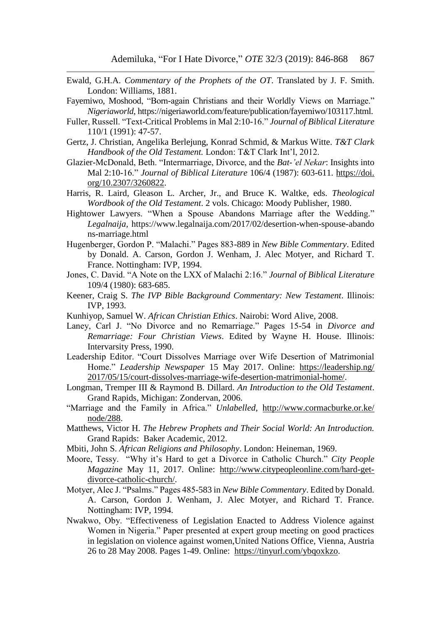- Ewald, G.H.A. *Commentary of the Prophets of the OT*. Translated by J. F. Smith. London: Williams, 1881.
- Fayemiwo, Moshood, "Born-again Christians and their Worldly Views on Marriage." *Nigeriaworld*, https://nigeriaworld.com/feature/publication/fayemiwo/103117.html.
- Fuller, Russell. "Text-Critical Problems in Mal 2:10-16." *Journal of Biblical Literature* 110/1 (1991): 47-57.
- Gertz, J. Christian, Angelika Berlejung, Konrad Schmid, & Markus Witte. *T&T Clark Handbook of the Old Testament.* London: T&T Clark Int'l, 2012.
- Glazier-McDonald, Beth. "Intermarriage, Divorce, and the *Bat-'el Nekar*: Insights into Mal 2:10-16." *Journal of Biblical Literature* 106/4 (1987): 603-611. https://doi. org/10.2307/3260822.
- Harris, R. Laird, Gleason L. Archer, Jr., and Bruce K. Waltke, eds. *Theological Wordbook of the Old Testament*. 2 vols. Chicago: Moody Publisher, 1980.
- Hightower Lawyers. "When a Spouse Abandons Marriage after the Wedding." *Legalnaija,* https://www.legalnaija.com/2017/02/desertion-when-spouse-abando ns-marriage.html
- Hugenberger, Gordon P. "Malachi." Pages 883-889 in *New Bible Commentary*. Edited by Donald. A. Carson, Gordon J. Wenham, J. Alec Motyer, and Richard T. France. Nottingham: IVP, 1994.
- Jones, C. David. "A Note on the LXX of Malachi 2:16." *Journal of Biblical Literature* 109/4 (1980): 683-685.
- Keener, Craig S. *The IVP Bible Background Commentary: New Testament*. Illinois: IVP, 1993.
- Kunhiyop, Samuel W. *African Christian Ethics*. Nairobi: Word Alive, 2008.
- Laney, Carl J. "No Divorce and no Remarriage." Pages 15-54 in *Divorce and Remarriage: Four Christian Views*. Edited by Wayne H. House. Illinois: Intervarsity Press, 1990.
- Leadership Editor. "Court Dissolves Marriage over Wife Desertion of Matrimonial Home." *Leadership Newspaper* 15 May 2017. Online: [https://leadership.ng/](https://leadership.ng/%202017/05/15/court-dissolves-marriage-wife-desertion-matrimonial-home/)  [2017/05/15/court-dissolves-marriage-wife-desertion-matrimonial-home/.](https://leadership.ng/%202017/05/15/court-dissolves-marriage-wife-desertion-matrimonial-home/)
- Longman, Tremper III & Raymond B. Dillard. *An Introduction to the Old Testament*. Grand Rapids, Michigan: Zondervan, 2006.
- "Marriage and the Family in Africa." *Unlabelled*, http://www.cormacburke.or.ke/ [node/288.](http://www.cormacburke.or.ke/%20node/288)
- Matthews, Victor H. *The Hebrew Prophets and Their Social World: An Introduction.* Grand Rapids: Baker Academic, 2012.
- Mbiti, John S. *African Religions and Philosophy*. London: Heineman, 1969.
- Moore, Tessy. "Why it's Hard to get a Divorce in Catholic Church." *City People Magazine* May 11, 2017. Online: [http://www.citypeopleonline.com/hard-get](http://www.citypeopleonline.com/hard-get-divorce-catholic-church/)[divorce-catholic-church/.](http://www.citypeopleonline.com/hard-get-divorce-catholic-church/)
- Motyer, Alec J. "Psalms." Pages 485-583 in *New Bible Commentary*. Edited by Donald. A. Carson, Gordon J. Wenham, J. Alec Motyer, and Richard T. France. Nottingham: IVP, 1994.
- Nwakwo, Oby. "Effectiveness of Legislation Enacted to Address Violence against Women in Nigeria." Paper presented at expert group meeting on good practices in legislation on violence against women,United Nations Office, Vienna, Austria 26 to 28 May 2008. Pages 1-49. Online: [https://tinyurl.com/ybqoxkzo.](https://tinyurl.com/ybqoxkzo)